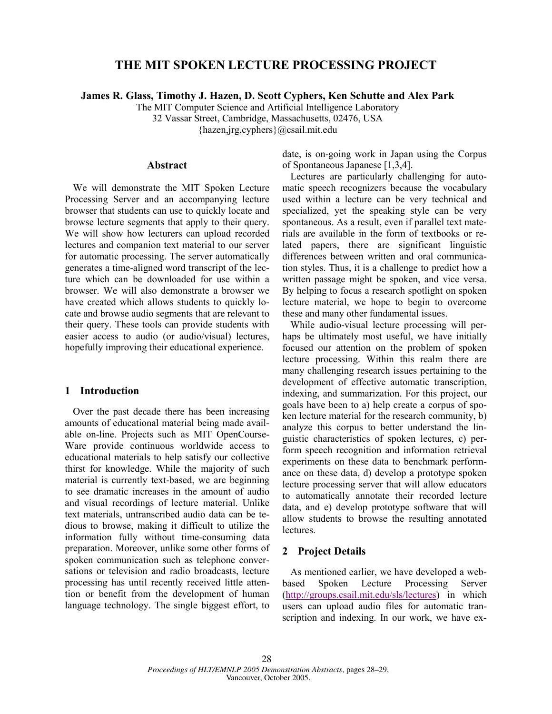# **THE MIT SPOKEN LECTURE PROCESSING PROJECT**

**James R. Glass, Timothy J. Hazen, D. Scott Cyphers, Ken Schutte and Alex Park**

The MIT Computer Science and Artificial Intelligence Laboratory 32 Vassar Street, Cambridge, Massachusetts, 02476, USA

{hazen,jrg,cyphers}@csail.mit.edu

### **Abstract**

We will demonstrate the MIT Spoken Lecture Processing Server and an accompanying lecture browser that students can use to quickly locate and browse lecture segments that apply to their query. We will show how lecturers can upload recorded lectures and companion text material to our server for automatic processing. The server automatically generates a time-aligned word transcript of the lecture which can be downloaded for use within a browser. We will also demonstrate a browser we have created which allows students to quickly locate and browse audio segments that are relevant to their query. These tools can provide students with easier access to audio (or audio/visual) lectures, hopefully improving their educational experience.

#### **1 Introduction**

Over the past decade there has been increasing amounts of educational material being made available on-line. Projects such as MIT OpenCourse-Ware provide continuous worldwide access to educational materials to help satisfy our collective thirst for knowledge. While the majority of such material is currently text-based, we are beginning to see dramatic increases in the amount of audio and visual recordings of lecture material. Unlike text materials, untranscribed audio data can be tedious to browse, making it difficult to utilize the information fully without time-consuming data preparation. Moreover, unlike some other forms of spoken communication such as telephone conversations or television and radio broadcasts, lecture processing has until recently received little attention or benefit from the development of human language technology. The single biggest effort, to date, is on-going work in Japan using the Corpus of Spontaneous Japanese [1,3,4].

Lectures are particularly challenging for automatic speech recognizers because the vocabulary used within a lecture can be very technical and specialized, yet the speaking style can be very spontaneous. As a result, even if parallel text materials are available in the form of textbooks or related papers, there are significant linguistic differences between written and oral communication styles. Thus, it is a challenge to predict how a written passage might be spoken, and vice versa. By helping to focus a research spotlight on spoken lecture material, we hope to begin to overcome these and many other fundamental issues.

While audio-visual lecture processing will perhaps be ultimately most useful, we have initially focused our attention on the problem of spoken lecture processing. Within this realm there are many challenging research issues pertaining to the development of effective automatic transcription, indexing, and summarization. For this project, our goals have been to a) help create a corpus of spoken lecture material for the research community, b) analyze this corpus to better understand the linguistic characteristics of spoken lectures, c) perform speech recognition and information retrieval experiments on these data to benchmark performance on these data, d) develop a prototype spoken lecture processing server that will allow educators to automatically annotate their recorded lecture data, and e) develop prototype software that will allow students to browse the resulting annotated lectures.

### **2 Project Details**

As mentioned earlier, we have developed a webbased Spoken Lecture Processing Server (http://groups.csail.mit.edu/sls/lectures) in which users can upload audio files for automatic transcription and indexing. In our work, we have ex